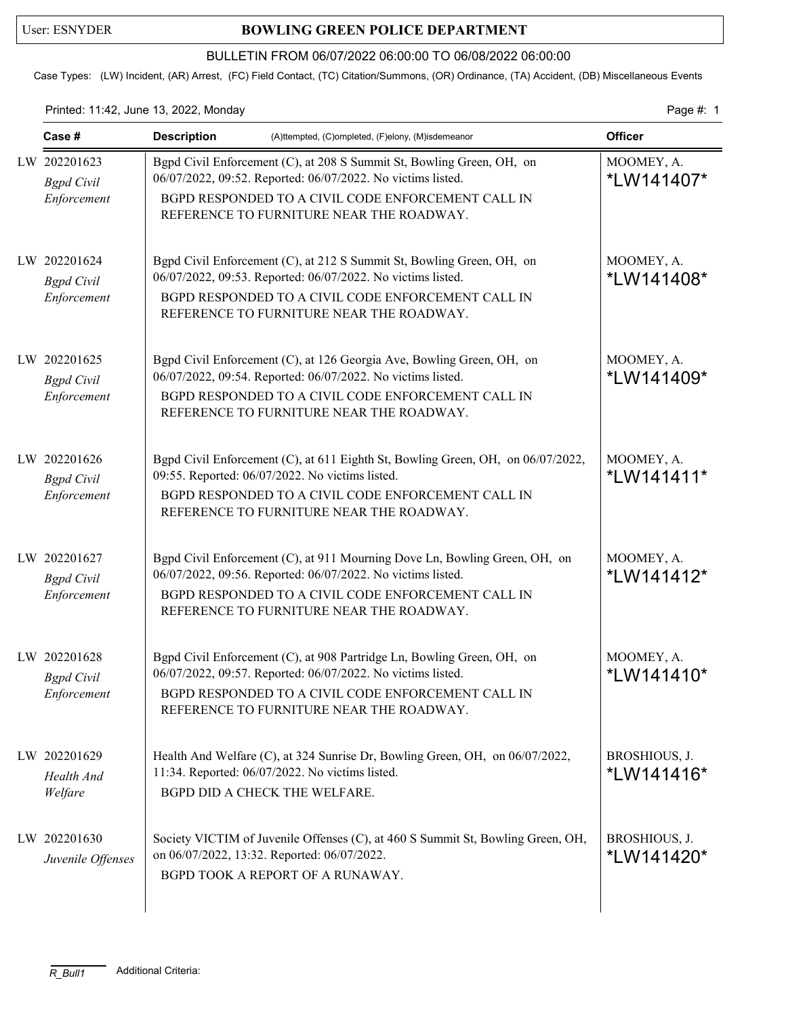## User: ESNYDER **BOWLING GREEN POLICE DEPARTMENT**

## BULLETIN FROM 06/07/2022 06:00:00 TO 06/08/2022 06:00:00

Case Types: (LW) Incident, (AR) Arrest, (FC) Field Contact, (TC) Citation/Summons, (OR) Ordinance, (TA) Accident, (DB) Miscellaneous Events

## Printed: 11:42, June 13, 2022, Monday Page #: 1

| Case #                                           | <b>Description</b><br>(A)ttempted, (C)ompleted, (F)elony, (M)isdemeanor                                                                                                                                                                     | <b>Officer</b>              |
|--------------------------------------------------|---------------------------------------------------------------------------------------------------------------------------------------------------------------------------------------------------------------------------------------------|-----------------------------|
| LW 202201623<br><b>Bgpd</b> Civil<br>Enforcement | Bgpd Civil Enforcement (C), at 208 S Summit St, Bowling Green, OH, on<br>06/07/2022, 09:52. Reported: 06/07/2022. No victims listed.<br>BGPD RESPONDED TO A CIVIL CODE ENFORCEMENT CALL IN<br>REFERENCE TO FURNITURE NEAR THE ROADWAY.      | MOOMEY, A.<br>*LW141407*    |
| LW 202201624<br><b>Bgpd</b> Civil<br>Enforcement | Bgpd Civil Enforcement (C), at 212 S Summit St, Bowling Green, OH, on<br>06/07/2022, 09:53. Reported: 06/07/2022. No victims listed.<br>BGPD RESPONDED TO A CIVIL CODE ENFORCEMENT CALL IN<br>REFERENCE TO FURNITURE NEAR THE ROADWAY.      | MOOMEY, A.<br>*LW141408*    |
| LW 202201625<br><b>Bgpd</b> Civil<br>Enforcement | Bgpd Civil Enforcement (C), at 126 Georgia Ave, Bowling Green, OH, on<br>06/07/2022, 09:54. Reported: 06/07/2022. No victims listed.<br>BGPD RESPONDED TO A CIVIL CODE ENFORCEMENT CALL IN<br>REFERENCE TO FURNITURE NEAR THE ROADWAY.      | MOOMEY, A.<br>*LW141409*    |
| LW 202201626<br><b>Bgpd</b> Civil<br>Enforcement | Bgpd Civil Enforcement (C), at 611 Eighth St, Bowling Green, OH, on 06/07/2022,<br>09:55. Reported: 06/07/2022. No victims listed.<br>BGPD RESPONDED TO A CIVIL CODE ENFORCEMENT CALL IN<br>REFERENCE TO FURNITURE NEAR THE ROADWAY.        | MOOMEY, A.<br>*LW141411*    |
| LW 202201627<br><b>Bgpd</b> Civil<br>Enforcement | Bgpd Civil Enforcement (C), at 911 Mourning Dove Ln, Bowling Green, OH, on<br>06/07/2022, 09:56. Reported: 06/07/2022. No victims listed.<br>BGPD RESPONDED TO A CIVIL CODE ENFORCEMENT CALL IN<br>REFERENCE TO FURNITURE NEAR THE ROADWAY. | MOOMEY, A.<br>*LW141412*    |
| LW 202201628<br><b>Bgpd</b> Civil<br>Enforcement | Bgpd Civil Enforcement (C), at 908 Partridge Ln, Bowling Green, OH, on<br>06/07/2022, 09:57. Reported: 06/07/2022. No victims listed.<br>BGPD RESPONDED TO A CIVIL CODE ENFORCEMENT CALL IN<br>REFERENCE TO FURNITURE NEAR THE ROADWAY.     | MOOMEY, A.<br>*LW141410*    |
| LW 202201629<br>Health And<br>Welfare            | Health And Welfare (C), at 324 Sunrise Dr, Bowling Green, OH, on 06/07/2022,<br>11:34. Reported: 06/07/2022. No victims listed.<br>BGPD DID A CHECK THE WELFARE.                                                                            | BROSHIOUS, J.<br>*LW141416* |
| LW 202201630<br>Juvenile Offenses                | Society VICTIM of Juvenile Offenses (C), at 460 S Summit St, Bowling Green, OH,<br>on 06/07/2022, 13:32. Reported: 06/07/2022.<br>BGPD TOOK A REPORT OF A RUNAWAY.                                                                          | BROSHIOUS, J.<br>*LW141420* |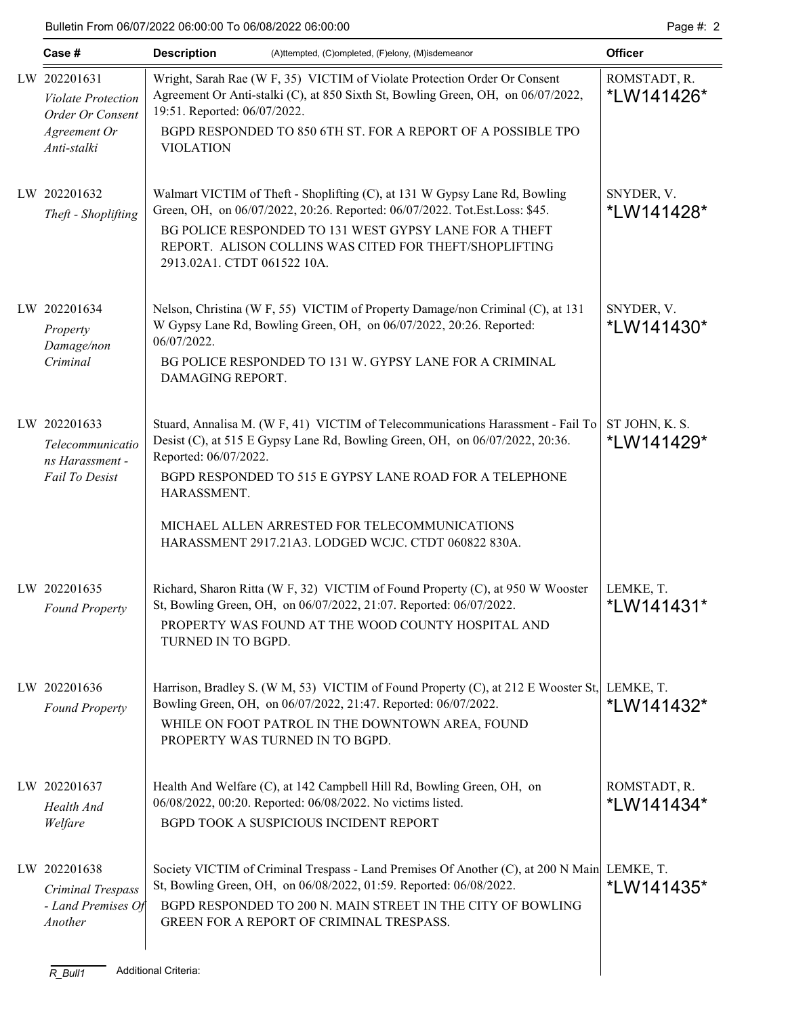| Case #                                                        | <b>Description</b><br>(A)ttempted, (C)ompleted, (F)elony, (M)isdemeanor                                                                                                                       | <b>Officer</b>             |
|---------------------------------------------------------------|-----------------------------------------------------------------------------------------------------------------------------------------------------------------------------------------------|----------------------------|
| LW 202201631<br><b>Violate Protection</b><br>Order Or Consent | Wright, Sarah Rae (W F, 35) VICTIM of Violate Protection Order Or Consent<br>Agreement Or Anti-stalki (C), at 850 Sixth St, Bowling Green, OH, on 06/07/2022,<br>19:51. Reported: 06/07/2022. | ROMSTADT, R.<br>*LW141426* |
| Agreement Or<br>Anti-stalki                                   | BGPD RESPONDED TO 850 6TH ST. FOR A REPORT OF A POSSIBLE TPO<br><b>VIOLATION</b>                                                                                                              |                            |
| LW 202201632<br>Theft - Shoplifting                           | Walmart VICTIM of Theft - Shoplifting (C), at 131 W Gypsy Lane Rd, Bowling<br>Green, OH, on 06/07/2022, 20:26. Reported: 06/07/2022. Tot.Est.Loss: \$45.                                      | SNYDER, V.<br>*LW141428*   |
|                                                               | BG POLICE RESPONDED TO 131 WEST GYPSY LANE FOR A THEFT<br>REPORT. ALISON COLLINS WAS CITED FOR THEFT/SHOPLIFTING<br>2913.02A1. CTDT 061522 10A.                                               |                            |
| LW 202201634<br>Property<br>Damage/non                        | Nelson, Christina (W F, 55) VICTIM of Property Damage/non Criminal (C), at 131<br>W Gypsy Lane Rd, Bowling Green, OH, on 06/07/2022, 20:26. Reported:<br>06/07/2022.                          | SNYDER, V.<br>*LW141430*   |
| Criminal                                                      | BG POLICE RESPONDED TO 131 W. GYPSY LANE FOR A CRIMINAL<br>DAMAGING REPORT.                                                                                                                   |                            |
| LW 202201633<br>Telecommunicatio                              | Stuard, Annalisa M. (W F, 41) VICTIM of Telecommunications Harassment - Fail To $ST$ JOHN, K. S.<br>Desist (C), at 515 E Gypsy Lane Rd, Bowling Green, OH, on 06/07/2022, 20:36.              | *LW141429*                 |
| ns Harassment -<br>Fail To Desist                             | Reported: 06/07/2022.<br>BGPD RESPONDED TO 515 E GYPSY LANE ROAD FOR A TELEPHONE<br>HARASSMENT.                                                                                               |                            |
|                                                               | MICHAEL ALLEN ARRESTED FOR TELECOMMUNICATIONS<br>HARASSMENT 2917.21A3. LODGED WCJC. CTDT 060822 830A.                                                                                         |                            |
| LW 202201635<br><b>Found Property</b>                         | Richard, Sharon Ritta (W F, 32) VICTIM of Found Property (C), at 950 W Wooster<br>St, Bowling Green, OH, on 06/07/2022, 21:07. Reported: 06/07/2022.                                          | LEMKE, T.<br>*LW141431*    |
|                                                               | PROPERTY WAS FOUND AT THE WOOD COUNTY HOSPITAL AND<br>TURNED IN TO BGPD.                                                                                                                      |                            |
| LW 202201636<br><b>Found Property</b>                         | Harrison, Bradley S. (W M, 53) VICTIM of Found Property (C), at 212 E Wooster St, LEMKE, T.<br>Bowling Green, OH, on 06/07/2022, 21:47. Reported: 06/07/2022.                                 | *LW141432*                 |
|                                                               | WHILE ON FOOT PATROL IN THE DOWNTOWN AREA, FOUND<br>PROPERTY WAS TURNED IN TO BGPD.                                                                                                           |                            |
| LW 202201637<br>Health And                                    | Health And Welfare (C), at 142 Campbell Hill Rd, Bowling Green, OH, on<br>06/08/2022, 00:20. Reported: 06/08/2022. No victims listed.                                                         | ROMSTADT, R.<br>*LW141434* |
| Welfare                                                       | BGPD TOOK A SUSPICIOUS INCIDENT REPORT                                                                                                                                                        |                            |
| LW 202201638<br>Criminal Trespass                             | Society VICTIM of Criminal Trespass - Land Premises Of Another (C), at 200 N Main LEMKE, T.<br>St, Bowling Green, OH, on 06/08/2022, 01:59. Reported: 06/08/2022.                             | *LW141435*                 |
| - Land Premises Of<br>Another                                 | BGPD RESPONDED TO 200 N. MAIN STREET IN THE CITY OF BOWLING<br>GREEN FOR A REPORT OF CRIMINAL TRESPASS.                                                                                       |                            |
| $R_B$ ull1                                                    | <b>Additional Criteria:</b>                                                                                                                                                                   |                            |